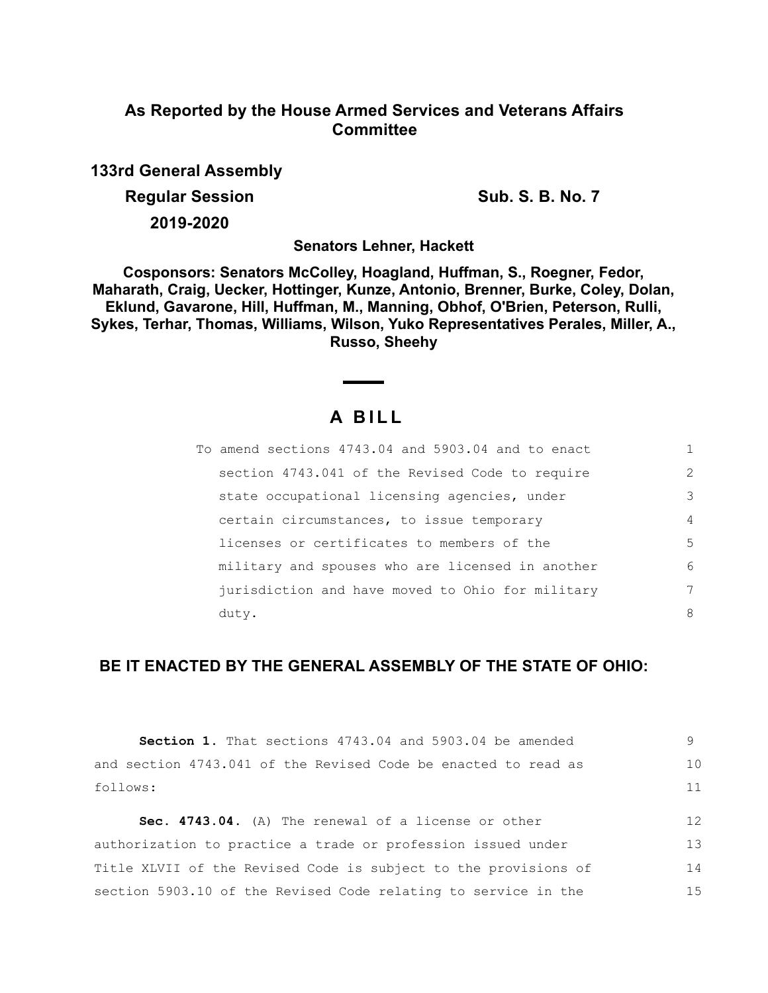## **As Reported by the House Armed Services and Veterans Affairs Committee**

**133rd General Assembly**

**Regular Session Sub. S. B. No. 7 Sub. S. B. No. 7** 

**2019-2020**

**Senators Lehner, Hackett**

**Cosponsors: Senators McColley, Hoagland, Huffman, S., Roegner, Fedor, Maharath, Craig, Uecker, Hottinger, Kunze, Antonio, Brenner, Burke, Coley, Dolan, Eklund, Gavarone, Hill, Huffman, M., Manning, Obhof, O'Brien, Peterson, Rulli, Sykes, Terhar, Thomas, Williams, Wilson, Yuko Representatives Perales, Miller, A., Russo, Sheehy**

# **A B I L L**

| To amend sections 4743.04 and 5903.04 and to enact |                |
|----------------------------------------------------|----------------|
| section 4743.041 of the Revised Code to require    | $\overline{2}$ |
| state occupational licensing agencies, under       | 3              |
| certain circumstances, to issue temporary          | $\overline{4}$ |
| licenses or certificates to members of the         | 5              |
| military and spouses who are licensed in another   | 6              |
| jurisdiction and have moved to Ohio for military   | 7              |
| duty.                                              | 8              |

### **BE IT ENACTED BY THE GENERAL ASSEMBLY OF THE STATE OF OHIO:**

| <b>Section 1.</b> That sections 4743.04 and 5903.04 be amended  | 9  |
|-----------------------------------------------------------------|----|
| and section 4743.041 of the Revised Code be enacted to read as  | 10 |
| follows:                                                        | 11 |
| Sec. 4743.04. (A) The renewal of a license or other             | 12 |
| authorization to practice a trade or profession issued under    | 13 |
| Title XLVII of the Revised Code is subject to the provisions of | 14 |
| section 5903.10 of the Revised Code relating to service in the  | 15 |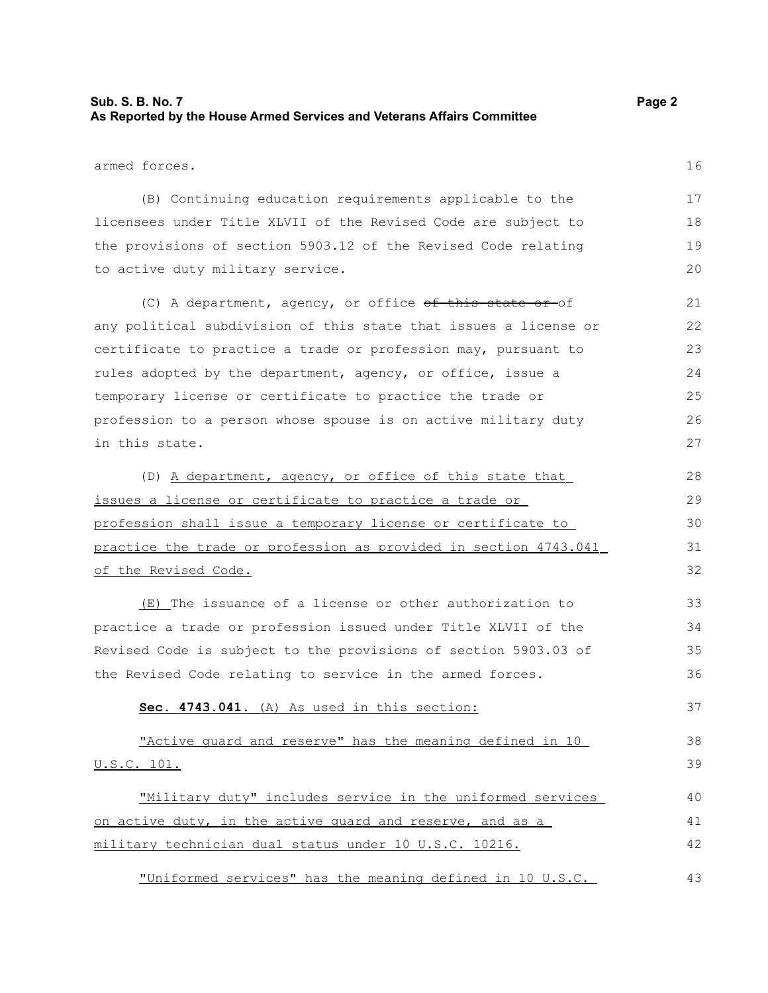#### **Sub. S. B. No. 7 Page 2 As Reported by the House Armed Services and Veterans Affairs Committee**

(B) Continuing education requirements applicable to the licensees under Title XLVII of the Revised Code are subject to the provisions of section 5903.12 of the Revised Code relating to active duty military service.

(C) A department, agency, or office of this state or of any political subdivision of this state that issues a license or certificate to practice a trade or profession may, pursuant to rules adopted by the department, agency, or office, issue a temporary license or certificate to practice the trade or profession to a person whose spouse is on active military duty in this state.

(D) A department, agency, or office of this state that issues a license or certificate to practice a trade or profession shall issue a temporary license or certificate to practice the trade or profession as provided in section 4743.041 of the Revised Code.

(E) The issuance of a license or other authorization to practice a trade or profession issued under Title XLVII of the Revised Code is subject to the provisions of section 5903.03 of the Revised Code relating to service in the armed forces.

#### **Sec. 4743.041.** (A) As used in this section:

 "Active guard and reserve" has the meaning defined in 10 U.S.C. 101. 38 39

 "Military duty" includes service in the uniformed services on active duty, in the active quard and reserve, and as a military technician dual status under 10 U.S.C. 10216. 40 41 42

 "Uniformed services" has the meaning defined in 10 U.S.C. 43

16

37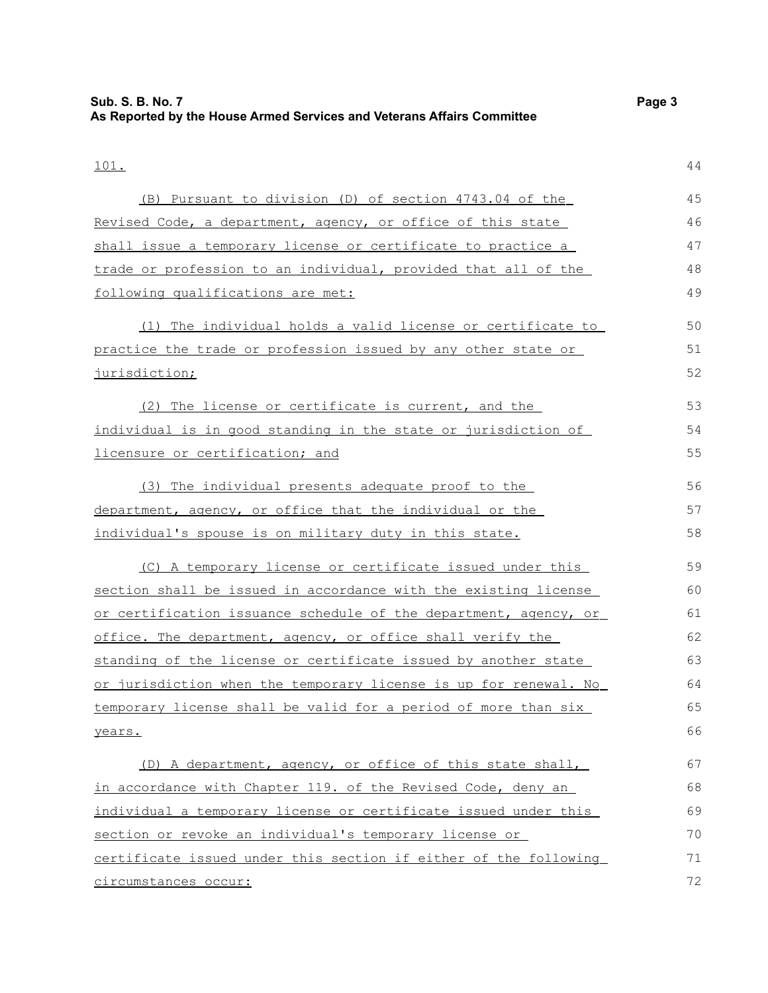| 101.                                                             | 44 |
|------------------------------------------------------------------|----|
| (B) Pursuant to division (D) of section 4743.04 of the           | 45 |
| Revised Code, a department, agency, or office of this state      | 46 |
| shall issue a temporary license or certificate to practice a     | 47 |
| trade or profession to an individual, provided that all of the   | 48 |
| following qualifications are met:                                | 49 |
| (1) The individual holds a valid license or certificate to       | 50 |
| practice the trade or profession issued by any other state or    | 51 |
| <u>jurisdiction;</u>                                             | 52 |
| (2) The license or certificate is current, and the               | 53 |
| individual is in good standing in the state or jurisdiction of   | 54 |
| licensure or certification; and                                  | 55 |
| (3) The individual presents adequate proof to the                | 56 |
| department, agency, or office that the individual or the         | 57 |
| individual's spouse is on military duty in this state.           | 58 |
| (C) A temporary license or certificate issued under this         | 59 |
| section shall be issued in accordance with the existing license  | 60 |
| or certification issuance schedule of the department, agency, or | 61 |
| office. The department, agency, or office shall verify the       | 62 |
| standing of the license or certificate issued by another state   | 63 |
| or jurisdiction when the temporary license is up for renewal. No | 64 |
| temporary license shall be valid for a period of more than six   | 65 |
| years.                                                           | 66 |
| (D) A department, agency, or office of this state shall,         | 67 |
| in accordance with Chapter 119. of the Revised Code, deny an     | 68 |
| individual a temporary license or certificate issued under this  | 69 |
| section or revoke an individual's temporary license or           | 70 |
| certificate issued under this section if either of the following | 71 |
| circumstances occur:                                             | 72 |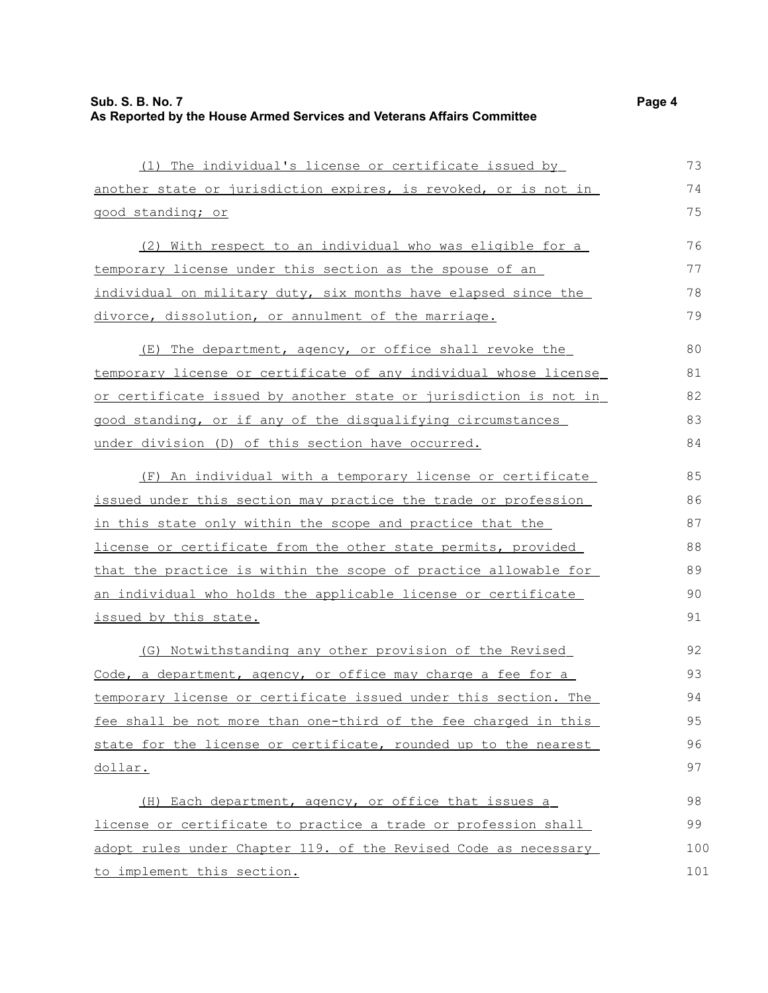| (1) The individual's license or certificate issued by            | 73  |
|------------------------------------------------------------------|-----|
| another state or jurisdiction expires, is revoked, or is not in  | 74  |
| good standing; or                                                | 75  |
| (2) With respect to an individual who was eligible for a         | 76  |
| temporary license under this section as the spouse of an         | 77  |
| individual on military duty, six months have elapsed since the   | 78  |
| divorce, dissolution, or annulment of the marriage.              | 79  |
| (E) The department, agency, or office shall revoke the           | 80  |
| temporary license or certificate of any individual whose license | 81  |
| or certificate issued by another state or jurisdiction is not in | 82  |
| good standing, or if any of the disqualifying circumstances      | 83  |
| under division (D) of this section have occurred.                | 84  |
| (F) An individual with a temporary license or certificate        | 85  |
| issued under this section may practice the trade or profession   | 86  |
| in this state only within the scope and practice that the        | 87  |
| license or certificate from the other state permits, provided    | 88  |
| that the practice is within the scope of practice allowable for  | 89  |
| an individual who holds the applicable license or certificate    | 90  |
| issued by this state.                                            | 91  |
| (G) Notwithstanding any other provision of the Revised           | 92  |
| Code, a department, agency, or office may charge a fee for a     | 93  |
| temporary license or certificate issued under this section. The  | 94  |
| fee shall be not more than one-third of the fee charged in this  | 95  |
| state for the license or certificate, rounded up to the nearest  | 96  |
| dollar.                                                          | 97  |
| (H) Each department, agency, or office that issues a             | 98  |
| license or certificate to practice a trade or profession shall   | 99  |
| adopt rules under Chapter 119. of the Revised Code as necessary  | 100 |

to implement this section.

101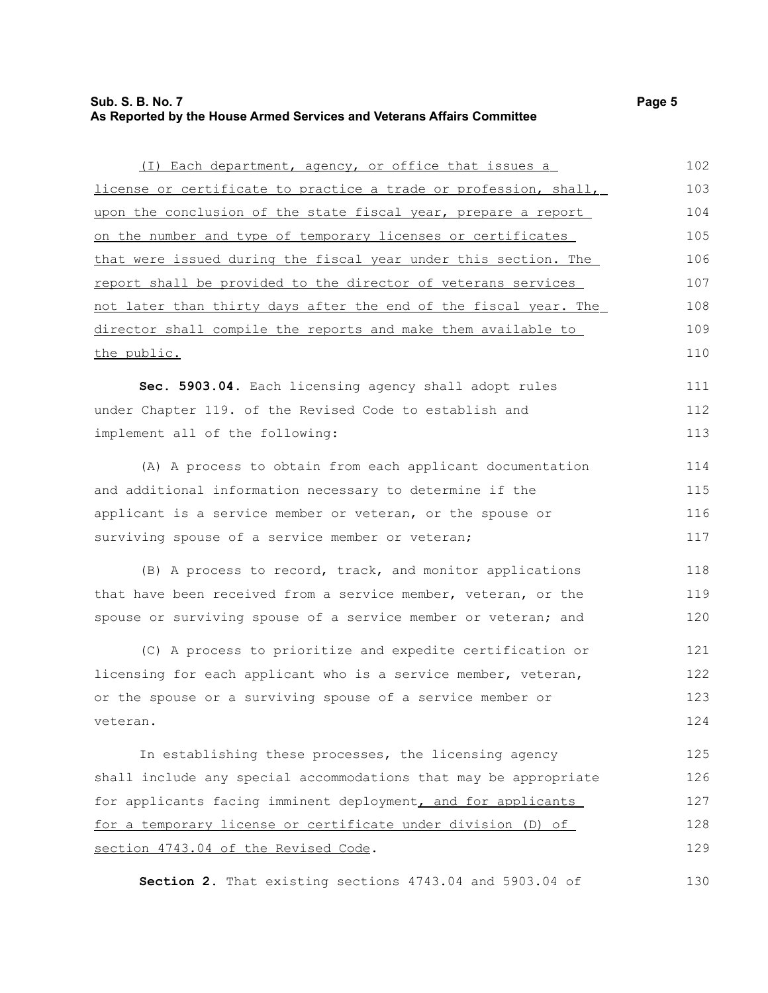#### **Sub. S. B. No. 7 Page 5 As Reported by the House Armed Services and Veterans Affairs Committee**

| (I) Each department, agency, or office that issues a             | 102 |
|------------------------------------------------------------------|-----|
| license or certificate to practice a trade or profession, shall, | 103 |
| upon the conclusion of the state fiscal year, prepare a report   | 104 |
| on the number and type of temporary licenses or certificates     | 105 |
| that were issued during the fiscal year under this section. The  | 106 |
| report shall be provided to the director of veterans services    | 107 |
| not later than thirty days after the end of the fiscal year. The | 108 |
| director shall compile the reports and make them available to    | 109 |
| the public.                                                      |     |
|                                                                  |     |
| Sec. 5903.04. Each licensing agency shall adopt rules            | 111 |
| under Chapter 119. of the Revised Code to establish and          | 112 |
|                                                                  |     |

implement all of the following:

(A) A process to obtain from each applicant documentation and additional information necessary to determine if the applicant is a service member or veteran, or the spouse or surviving spouse of a service member or veteran; 114 115 116 117

(B) A process to record, track, and monitor applications that have been received from a service member, veteran, or the spouse or surviving spouse of a service member or veteran; and 118 119 120

(C) A process to prioritize and expedite certification or licensing for each applicant who is a service member, veteran, or the spouse or a surviving spouse of a service member or veteran. 121 122 123 124

In establishing these processes, the licensing agency shall include any special accommodations that may be appropriate for applicants facing imminent deployment, and for applicants for a temporary license or certificate under division (D) of section 4743.04 of the Revised Code. 125 126 127 128 129

**Section 2.** That existing sections 4743.04 and 5903.04 of

113

130